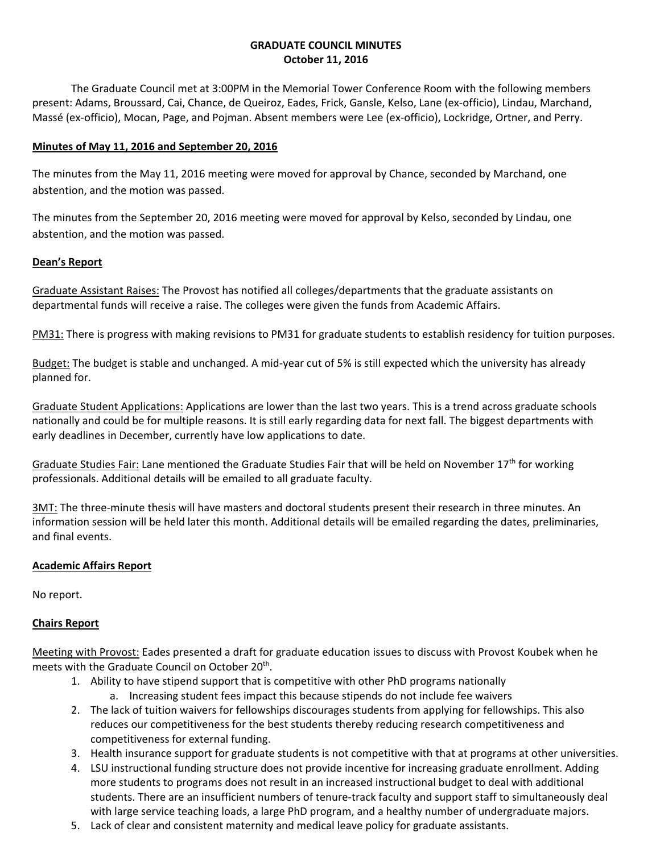# **GRADUATE COUNCIL MINUTES October 11, 2016**

The Graduate Council met at 3:00PM in the Memorial Tower Conference Room with the following members present: Adams, Broussard, Cai, Chance, de Queiroz, Eades, Frick, Gansle, Kelso, Lane (ex-officio), Lindau, Marchand, Massé (ex-officio), Mocan, Page, and Pojman. Absent members were Lee (ex-officio), Lockridge, Ortner, and Perry.

## **Minutes of May 11, 2016 and September 20, 2016**

The minutes from the May 11, 2016 meeting were moved for approval by Chance, seconded by Marchand, one abstention, and the motion was passed.

The minutes from the September 20, 2016 meeting were moved for approval by Kelso, seconded by Lindau, one abstention, and the motion was passed.

# **Dean's Report**

Graduate Assistant Raises: The Provost has notified all colleges/departments that the graduate assistants on departmental funds will receive a raise. The colleges were given the funds from Academic Affairs.

<u>PM31:</u> There is progress with making revisions to PM31 for graduate students to establish residency for tuition purposes.<br><u>Budget:</u> The budget is stable and unchanged. A mid-year cut of 5% is still expected which the univ planned for.

Graduate Student Applications: Applications are lower than the last two years. This is a trend across graduate schools nationally and could be for multiple reasons. It is still early regarding data for next fall. The biggest departments with early deadlines in December, currently have low applications to date.

Graduate Studies Fair: Lane mentioned the Graduate Studies Fair that will be held on November 17<sup>th</sup> for working professionals. Additional details will be emailed to all graduate faculty.

3MT: The three-minute thesis will have masters and doctoral students present their research in three minutes. An information session will be held later this month. Additional details will be emailed regarding the dates, preliminaries, and final events.

# **Academic Affairs Report**

No report.

### **Chairs Report**

Meeting with Provost: Eades presented a draft for graduate education issues to discuss with Provost Koubek when he meets with the Graduate Council on October 20<sup>th</sup>.

- 1. Ability to have stipend support that is competitive with other PhD programs nationally a. Increasing student fees impact this because stipends do not include fee waivers
- competitiveness for external funding. 2. The lack of tuition waivers for fellowships discourages students from applying for fellowships. This also reduces our competitiveness for the best students thereby reducing research competitiveness and
- 3. Health insurance support for graduate students is not competitive with that at programs at other universities.
- 4. LSU instructional funding structure does not provide incentive for increasing graduate enrollment. Adding more students to programs does not result in an increased instructional budget to deal with additional students. There are an insufficient numbers of tenure-track faculty and support staff to simultaneously deal with large service teaching loads, a large PhD program, and a healthy number of undergraduate majors.
- 5. Lack of clear and consistent maternity and medical leave policy for graduate assistants.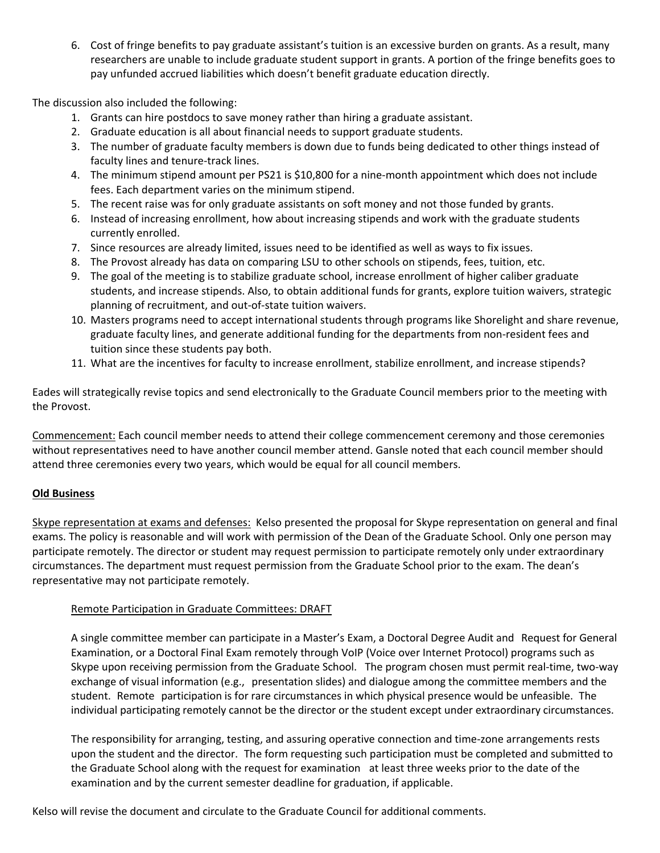6. Cost of fringe benefits to pay graduate assistant's tuition is an excessive burden on grants. As a result, many researchers are unable to include graduate student support in grants. A portion of the fringe benefits goes to pay unfunded accrued liabilities which doesn't benefit graduate education directly.

The discussion also included the following:

- 1. Grants can hire postdocs to save money rather than hiring a graduate assistant.
- 2. Graduate education is all about financial needs to support graduate students.
- 3. The number of graduate faculty members is down due to funds being dedicated to other things instead of faculty lines and tenure-track lines.
- 4. The minimum stipend amount per PS21 is \$10,800 for a nine-month appointment which does not include fees. Each department varies on the minimum stipend.
- 5. The recent raise was for only graduate assistants on soft money and not those funded by grants.
- 6. Instead of increasing enrollment, how about increasing stipends and work with the graduate students currently enrolled.
- 7. Since resources are already limited, issues need to be identified as well as ways to fix issues.
- 8. The Provost already has data on comparing LSU to other schools on stipends, fees, tuition, etc.
- 9. The goal of the meeting is to stabilize graduate school, increase enrollment of higher caliber graduate students, and increase stipends. Also, to obtain additional funds for grants, explore tuition waivers, strategic planning of recruitment, and out-of-state tuition waivers.
- 10. Masters programs need to accept international students through programs like Shorelight and share revenue, graduate faculty lines, and generate additional funding for the departments from non-resident fees and tuition since these students pay both.
- 11. What are the incentives for faculty to increase enrollment, stabilize enrollment, and increase stipends?

Eades will strategically revise topics and send electronically to the Graduate Council members prior to the meeting with the Provost.

 attend three ceremonies every two years, which would be equal for all council members. Commencement: Each council member needs to attend their college commencement ceremony and those ceremonies without representatives need to have another council member attend. Gansle noted that each council member should

### **Old Business**

Skype representation at exams and defenses: Kelso presented the proposal for Skype representation on general and final exams. The policy is reasonable and will work with permission of the Dean of the Graduate School. Only one person may participate remotely. The director or student may request permission to participate remotely only under extraordinary circumstances. The department must request permission from the Graduate School prior to the exam. The dean's representative may not participate remotely.

### Remote Participation in Graduate Committees: DRAFT

 A single committee member can participate in a Master's Exam, a Doctoral Degree Audit and Request for General Examination, or a Doctoral Final Exam remotely through VoIP (Voice over Internet Protocol) programs such as exchange of visual information (e.g., presentation slides) and dialogue among the committee members and the student. Remote participation is for rare circumstances in which physical presence would be unfeasible. The Skype upon receiving permission from the Graduate School. The program chosen must permit real-time, two-way individual participating remotely cannot be the director or the student except under extraordinary circumstances.

The responsibility for arranging, testing, and assuring operative connection and time-zone arrangements rests upon the student and the director. The form requesting such participation must be completed and submitted to the Graduate School along with the request for examination at least three weeks prior to the date of the examination and by the current semester deadline for graduation, if applicable.

Kelso will revise the document and circulate to the Graduate Council for additional comments.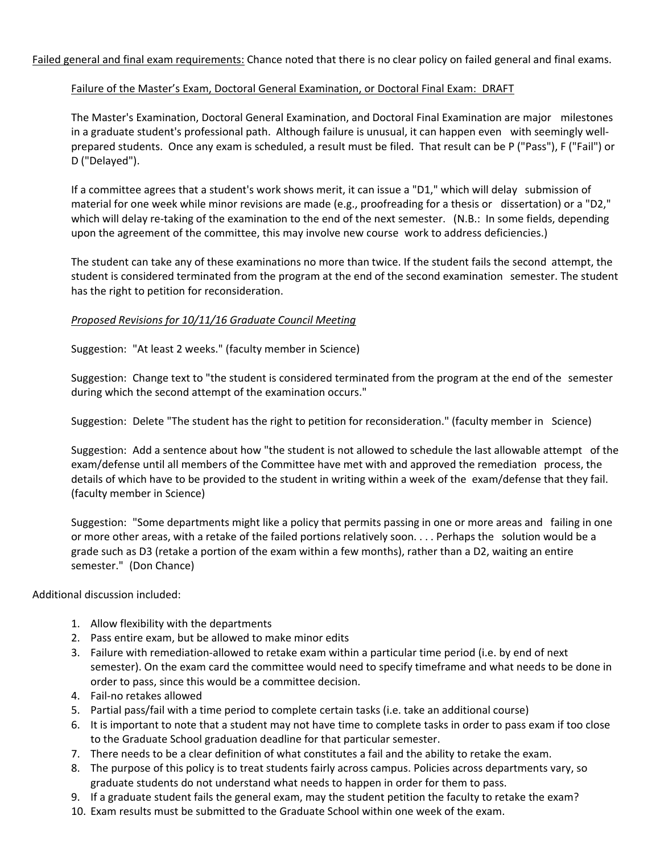Failed general and final exam requirements: Chance noted that there is no clear policy on failed general and final exams.

# Failure of the Master's Exam, Doctoral General Examination, or Doctoral Final Exam: DRAFT

The Master's Examination, Doctoral General Examination, and Doctoral Final Examination are major milestones in a graduate student's professional path. Although failure is unusual, it can happen even with seemingly wellprepared students. Once any exam is scheduled, a result must be filed. That result can be P ("Pass"), F ("Fail") or D ("Delayed").

If a committee agrees that a student's work shows merit, it can issue a "D1," which will delay submission of material for one week while minor revisions are made (e.g., proofreading for a thesis or dissertation) or a "D2," which will delay re-taking of the examination to the end of the next semester. (N.B.: In some fields, depending upon the agreement of the committee, this may involve new course work to address deficiencies.)

The student can take any of these examinations no more than twice. If the student fails the second attempt, the student is considered terminated from the program at the end of the second examination semester. The student has the right to petition for reconsideration.

# *Proposed Revisions for 10/11/16 Graduate Council Meeting*

Suggestion: "At least 2 weeks." (faculty member in Science)

Suggestion: Change text to "the student is considered terminated from the program at the end of the semester during which the second attempt of the examination occurs."

Suggestion: Delete "The student has the right to petition for reconsideration." (faculty member in Science)

 details of which have to be provided to the student in writing within a week of the exam/defense that they fail. Suggestion: Add a sentence about how "the student is not allowed to schedule the last allowable attempt of the exam/defense until all members of the Committee have met with and approved the remediation process, the (faculty member in Science)

Suggestion: "Some departments might like a policy that permits passing in one or more areas and failing in one or more other areas, with a retake of the failed portions relatively soon. . . . Perhaps the solution would be a grade such as D3 (retake a portion of the exam within a few months), rather than a D2, waiting an entire semester." (Don Chance)

Additional discussion included:

- 1. Allow flexibility with the departments
- 2. Pass entire exam, but be allowed to make minor edits
- 3. Failure with remediation-allowed to retake exam within a particular time period (i.e. by end of next semester). On the exam card the committee would need to specify timeframe and what needs to be done in order to pass, since this would be a committee decision.
- 4. Fail-no retakes allowed
- 5. Partial pass/fail with a time period to complete certain tasks (i.e. take an additional course)
- 6. It is important to note that a student may not have time to complete tasks in order to pass exam if too close to the Graduate School graduation deadline for that particular semester.
- 7. There needs to be a clear definition of what constitutes a fail and the ability to retake the exam.
- 8. The purpose of this policy is to treat students fairly across campus. Policies across departments vary, so graduate students do not understand what needs to happen in order for them to pass.
- 9. If a graduate student fails the general exam, may the student petition the faculty to retake the exam?
- 10. Exam results must be submitted to the Graduate School within one week of the exam.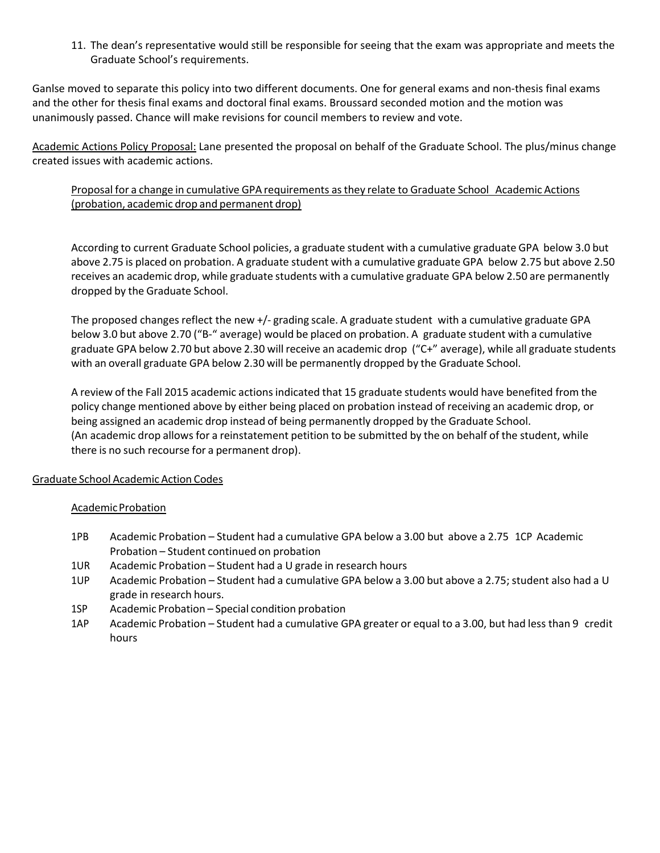Graduate School's requirements. 11. The dean's representative would still be responsible for seeing that the exam was appropriate and meets the

 unanimously passed. Chance will make revisions for council members to review and vote. Ganlse moved to separate this policy into two different documents. One for general exams and non-thesis final exams and the other for thesis final exams and doctoral final exams. Broussard seconded motion and the motion was

created issues with academic actions. Academic Actions Policy Proposal: Lane presented the proposal on behalf of the Graduate School. The plus/minus change

# created issues with academic actions.<br>Proposal for a change in cumulative GPA requirements as they relate to Graduate School Academic Actions (probation, academic drop and permanent drop)

 According to current Graduate School policies, a graduate student with a cumulative graduate GPA below 3.0 but above 2.75 is placed on probation. A graduate student with a cumulative graduate GPA below 2.75 but above 2.50 dropped by the Graduate School. receives an academic drop, while graduate students with a cumulative graduate GPA below 2.50 are permanently

 below 3.0 but above 2.70 ("B-" average) would be placed on probation. A graduate student with a cumulative graduate GPA below 2.70 but above 2.30 will receive an academic drop ("C+" average), while all graduate students The proposed changes reflect the new +/- grading scale. A graduate student with a cumulative graduate GPA with an overall graduate GPA below 2.30 will be permanently dropped by the Graduate School.

 A review of the Fall 2015 academic actions indicated that 15 graduate students would have benefited from the policy change mentioned above by either being placed on probation instead of receiving an academic drop, or (An academic drop allows for a reinstatement petition to be submitted by the on behalf of the student, while there is no such recourse for a permanent drop). being assigned an academic drop instead of being permanently dropped by the Graduate School.

### Graduate School Academic Action Codes

### Academic Probation

- 1PB Academic Probation Student had a cumulative GPA below a 3.00 but above a 2.75 1CP Academic Probation – Student continued on probation
- 1UR Academic Probation – Student had a U grade in research hours
- Academic Probation Student had a cumulative GPA below a 3.00 but above a 2.75; student also had a U 1UP grade in research hours.
- 1SP Academic Probation – Special condition probation
- Academic Probation Student had a cumulative GPA greater or equal to a 3.00, but had less than 9 credit 1AP hours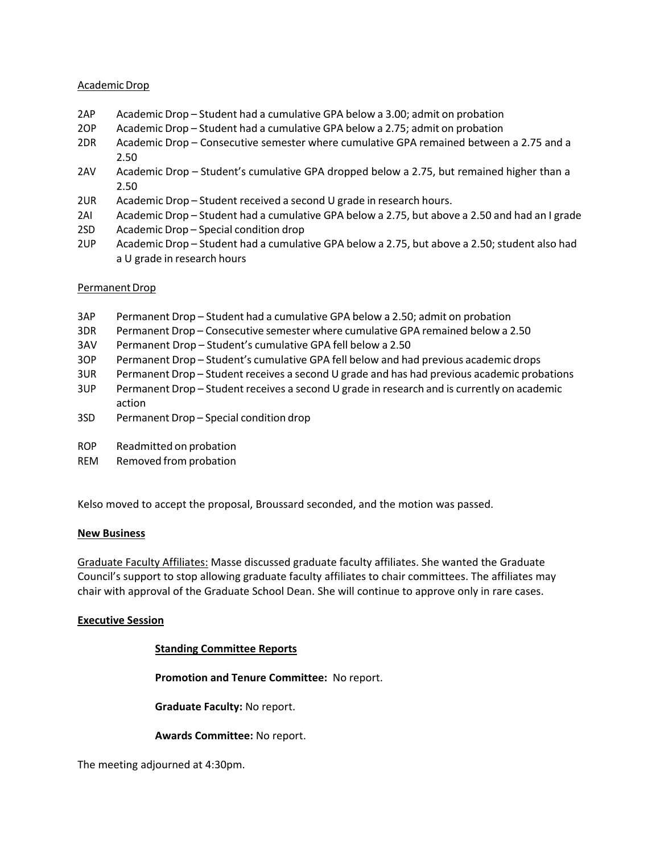### Academic Drop

- 2AP Academic Drop Student had a cumulative GPA below a 3.00; admit on probation
- 2OP Academic Drop Student had a cumulative GPA below a 2.75; admit on probation
- 2DR Academic Drop Consecutive semester where cumulative GPA remained between a 2.75 and a 2.50
- 2.50 2AV Academic Drop Student's cumulative GPA dropped below a 2.75, but remained higher than a 2.50
- 2UR Academic Drop Student received a second U grade in research hours.
- 2AI Academic Drop Student had a cumulative GPA below a 2.75, but above a 2.50 and had an I grade
- 2SD Academic Drop Special condition drop
- 2UP Academic Drop Student had a cumulative GPA below a 2.75, but above a 2.50; student also had a U grade in research hours

### Permanent Drop

- 3AP Permanent Drop Student had a cumulative GPA below a 2.50; admit on probation
- 3DR Permanent Drop Consecutive semester where cumulative GPA remained below a 2.50
- 3AV Permanent Drop Student's cumulative GPA fell below a 2.50
- 3OP Permanent Drop Student's cumulative GPA fell below and had previous academic drops
- 3UR Permanent Drop Student receives a second U grade and has had previous academic probations
- 3UP Permanent Drop Student receives a second U grade in research and is currently on academic action
- 3SD Permanent Drop Special condition drop
- ROP Readmitted on probation
- REM Removed from probation

Kelso moved to accept the proposal, Broussard seconded, and the motion was passed.

### **New Business**

Graduate Faculty Affiliates: Masse discussed graduate faculty affiliates. She wanted the Graduate Council's support to stop allowing graduate faculty affiliates to chair committees. The affiliates may chair with approval of the Graduate School Dean. She will continue to approve only in rare cases.

### **Executive Session**

### **Standing Committee Reports**

**Promotion and Tenure Committee:** No report.

**Graduate Faculty:** No report.

### **Awards Committee:** No report.

The meeting adjourned at 4:30pm.